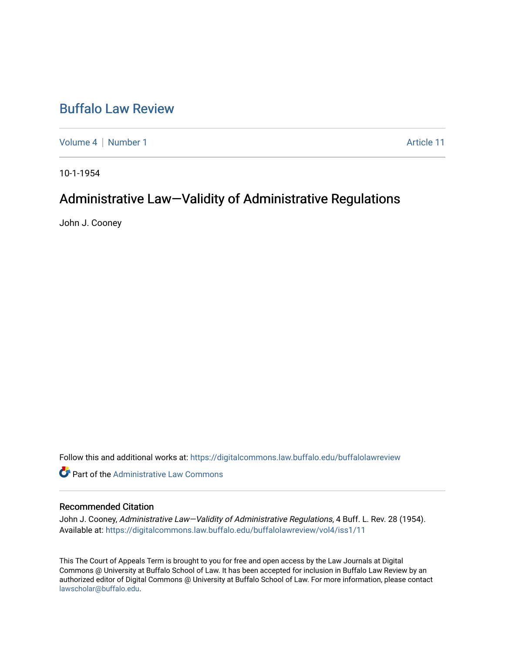## [Buffalo Law Review](https://digitalcommons.law.buffalo.edu/buffalolawreview)

[Volume 4](https://digitalcommons.law.buffalo.edu/buffalolawreview/vol4) | [Number 1](https://digitalcommons.law.buffalo.edu/buffalolawreview/vol4/iss1) Article 11

10-1-1954

# Administrative Law-Validity of Administrative Regulations

John J. Cooney

Follow this and additional works at: [https://digitalcommons.law.buffalo.edu/buffalolawreview](https://digitalcommons.law.buffalo.edu/buffalolawreview?utm_source=digitalcommons.law.buffalo.edu%2Fbuffalolawreview%2Fvol4%2Fiss1%2F11&utm_medium=PDF&utm_campaign=PDFCoverPages) 

**C** Part of the Administrative Law Commons

### Recommended Citation

John J. Cooney, Administrative Law-Validity of Administrative Regulations, 4 Buff. L. Rev. 28 (1954). Available at: [https://digitalcommons.law.buffalo.edu/buffalolawreview/vol4/iss1/11](https://digitalcommons.law.buffalo.edu/buffalolawreview/vol4/iss1/11?utm_source=digitalcommons.law.buffalo.edu%2Fbuffalolawreview%2Fvol4%2Fiss1%2F11&utm_medium=PDF&utm_campaign=PDFCoverPages) 

This The Court of Appeals Term is brought to you for free and open access by the Law Journals at Digital Commons @ University at Buffalo School of Law. It has been accepted for inclusion in Buffalo Law Review by an authorized editor of Digital Commons @ University at Buffalo School of Law. For more information, please contact [lawscholar@buffalo.edu](mailto:lawscholar@buffalo.edu).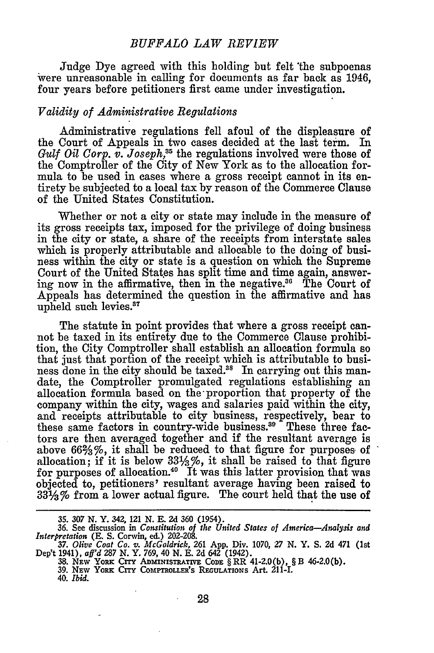#### *BUFFALO LAW REVIEW*

Judge Dye agreed with this holding but felt 'the subpoenas were unreasonable in calling for documents as far back as 1946, four years before petitioners first came under investigation.

#### *Validity of Administrative Regulations*

Administrative regulations fell afoul of the displeasure of the Court of Appeals in two cases decided at the last term. In *Gulf Oil Corp. v. Joseph,35* the regulations involved were those of the Comptroller of the City of New York as to the allocation formula to be used in cases where a gross receipt cannot in its entirety be subjected to a local tax by reason of the Commerce Clause of the United States Constitution.

Whether or not a city or state may include in the measure of its gross receipts tax, imposed for the privilege of doing business in the city or state, a share of the receipts from interstate sales which is properly attributable and allocable to the doing of business within the city or state is a question on which the Supreme Court of the United States has split time and time again, answering now in the affirmative, then in the negative.<sup>36</sup> The Court of Appeals has determined the question in the affirmative and has upheld such levies.<sup>37</sup>

The statute in point provides that where a gross receipt cannot be taxed in its entirety due to the Commerce Clause prohibition, the City Comptroller shall establish an allocation formula so that just that portion of the receipt which is attributable to business done in the city should be taxed.<sup>38</sup> In carrying out this mandate, the Comptroller promulgated regulations establishing an allocation formula based on the-proportion that property of the company within the city, wages and salaries paid within the city, and receipts attributable to city business, respectively, bear to these same factors in country-wide business.<sup>39</sup> These three factors are then averaged together and if the resultant average is above  $66\frac{2}{3}\%$ , it shall be reduced to that figure for purposes of allocation; if it is below  $33\frac{1}{3}\%$ , it shall be raised to that figure for purposes of allocation.<sup>40</sup> It was this latter provision that was objected to, petitioners' resultant average having been raised to 331/3% from a lower actual figure. The court held that the use of

**<sup>35.</sup>** *307* **N. Y. 342, 121 N. E. 2d 360 (1954). 36. See discussion in** *Constitution of the United States of America-Analysis and Interpretation* **(E. S. Corwin,** ed.) **202-208.**

*<sup>37.</sup> Olive Coat Co. v. McGoldrick,* **261 App.** Div. 1070, *27 N. Y.* **S. 2d 471 (1st Dep't 1941),** *aff'd 287* **N.** Y. **769,** 40 **N. E. 2d 642** (1942).

**<sup>38.</sup> NEW YORK CrrY ADmNISTRATIVE CODE** § RR **41-2.0(b),** § B **46-2.0(b).**

**<sup>39.</sup> NEW** YORK CITy **COMPTROLLER'S REGULATIONS Art. 211-I.** 40. *Ibid.*